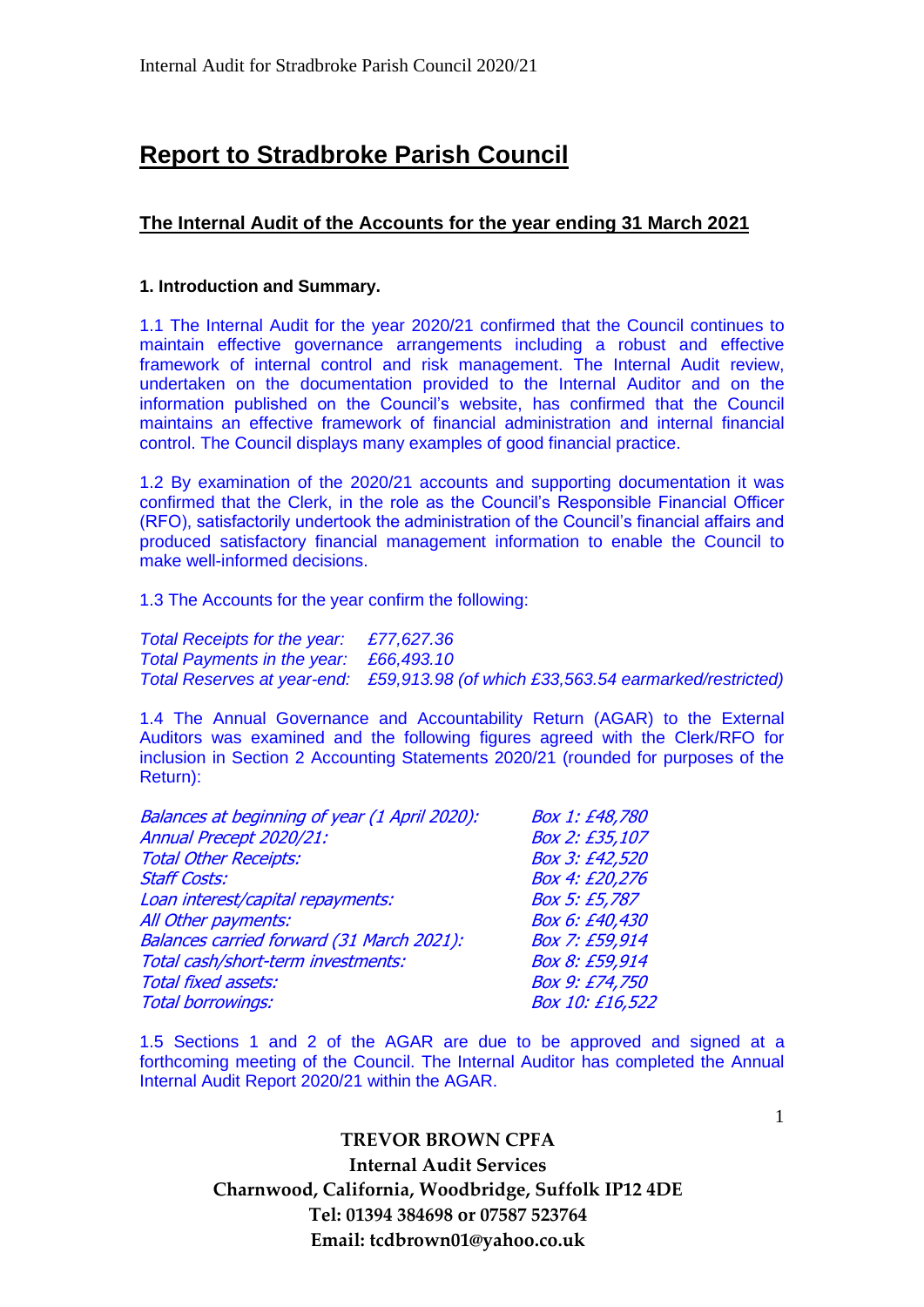# **Report to Stradbroke Parish Council**

## **The Internal Audit of the Accounts for the year ending 31 March 2021**

### **1. Introduction and Summary.**

1.1 The Internal Audit for the year 2020/21 confirmed that the Council continues to maintain effective governance arrangements including a robust and effective framework of internal control and risk management. The Internal Audit review, undertaken on the documentation provided to the Internal Auditor and on the information published on the Council's website, has confirmed that the Council maintains an effective framework of financial administration and internal financial control. The Council displays many examples of good financial practice.

1.2 By examination of the 2020/21 accounts and supporting documentation it was confirmed that the Clerk, in the role as the Council's Responsible Financial Officer (RFO), satisfactorily undertook the administration of the Council's financial affairs and produced satisfactory financial management information to enable the Council to make well-informed decisions.

1.3 The Accounts for the year confirm the following:

*Total Receipts for the year: £77,627.36 Total Payments in the year: £66,493.10 Total Reserves at year-end: £59,913.98 (of which £33,563.54 earmarked/restricted)*

1.4 The Annual Governance and Accountability Return (AGAR) to the External Auditors was examined and the following figures agreed with the Clerk/RFO for inclusion in Section 2 Accounting Statements 2020/21 (rounded for purposes of the Return):

| Balances at beginning of year (1 April 2020): | Box 1: £48,780  |
|-----------------------------------------------|-----------------|
| Annual Precept 2020/21:                       | Box 2: £35,107  |
| <b>Total Other Receipts:</b>                  | Box 3: £42,520  |
| <b>Staff Costs:</b>                           | Box 4: £20,276  |
| Loan interest/capital repayments:             | Box 5: £5,787   |
| All Other payments:                           | Box 6: £40,430  |
| Balances carried forward (31 March 2021):     | Box 7: £59,914  |
| Total cash/short-term investments:            | Box 8: £59,914  |
| <b>Total fixed assets:</b>                    | Box 9: £74,750  |
| <b>Total borrowings:</b>                      | Box 10: £16,522 |
|                                               |                 |

1.5 Sections 1 and 2 of the AGAR are due to be approved and signed at a forthcoming meeting of the Council. The Internal Auditor has completed the Annual Internal Audit Report 2020/21 within the AGAR.

> **TREVOR BROWN CPFA Internal Audit Services Charnwood, California, Woodbridge, Suffolk IP12 4DE Tel: 01394 384698 or 07587 523764 Email: tcdbrown01@yahoo.co.uk**

1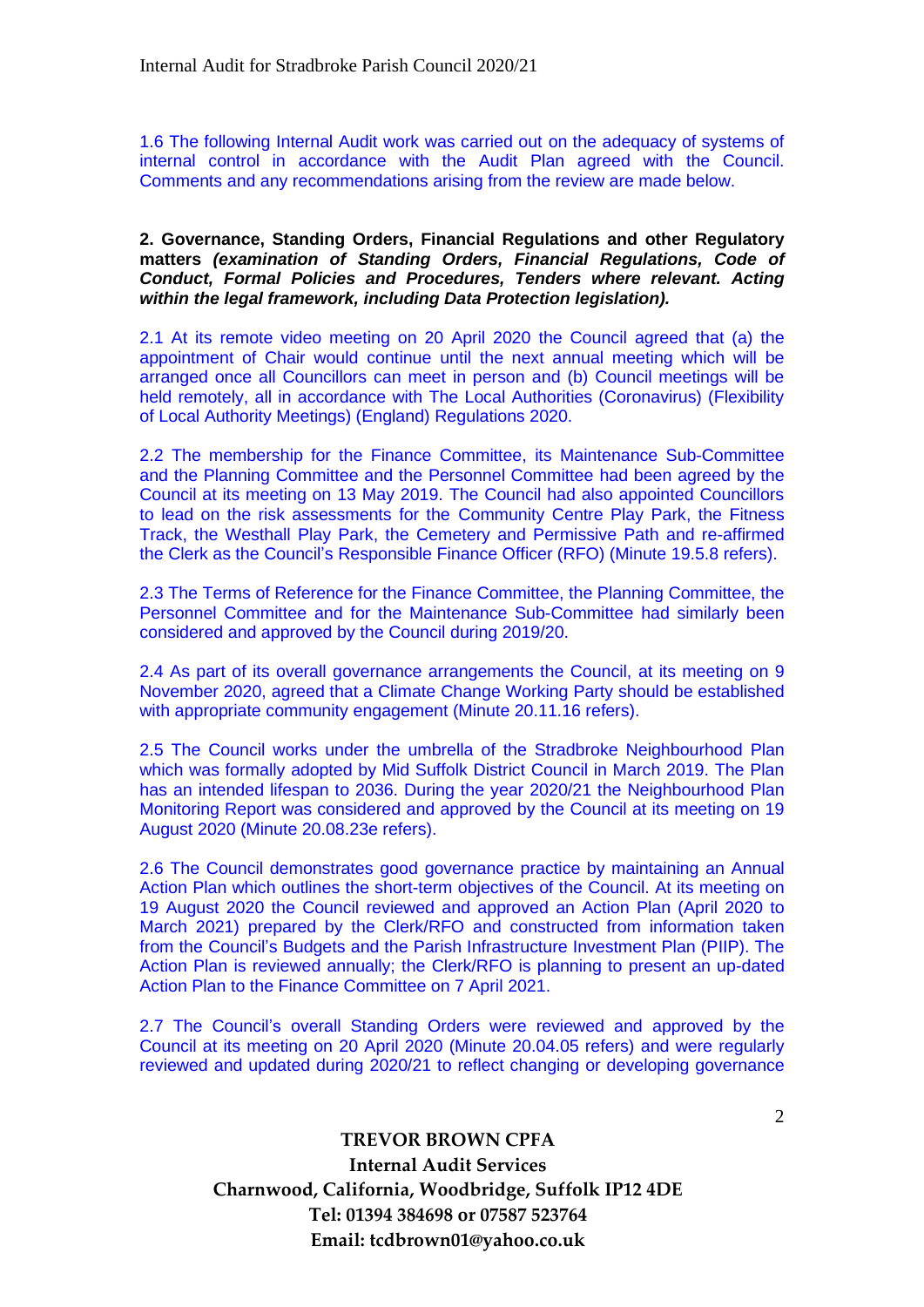1.6 The following Internal Audit work was carried out on the adequacy of systems of internal control in accordance with the Audit Plan agreed with the Council. Comments and any recommendations arising from the review are made below.

#### **2. Governance, Standing Orders, Financial Regulations and other Regulatory matters** *(examination of Standing Orders, Financial Regulations, Code of Conduct, Formal Policies and Procedures, Tenders where relevant. Acting within the legal framework, including Data Protection legislation).*

2.1 At its remote video meeting on 20 April 2020 the Council agreed that (a) the appointment of Chair would continue until the next annual meeting which will be arranged once all Councillors can meet in person and (b) Council meetings will be held remotely, all in accordance with The Local Authorities (Coronavirus) (Flexibility of Local Authority Meetings) (England) Regulations 2020.

2.2 The membership for the Finance Committee, its Maintenance Sub-Committee and the Planning Committee and the Personnel Committee had been agreed by the Council at its meeting on 13 May 2019. The Council had also appointed Councillors to lead on the risk assessments for the Community Centre Play Park, the Fitness Track, the Westhall Play Park, the Cemetery and Permissive Path and re-affirmed the Clerk as the Council's Responsible Finance Officer (RFO) (Minute 19.5.8 refers).

2.3 The Terms of Reference for the Finance Committee, the Planning Committee, the Personnel Committee and for the Maintenance Sub-Committee had similarly been considered and approved by the Council during 2019/20.

2.4 As part of its overall governance arrangements the Council, at its meeting on 9 November 2020, agreed that a Climate Change Working Party should be established with appropriate community engagement (Minute 20.11.16 refers).

2.5 The Council works under the umbrella of the Stradbroke Neighbourhood Plan which was formally adopted by Mid Suffolk District Council in March 2019. The Plan has an intended lifespan to 2036. During the year 2020/21 the Neighbourhood Plan Monitoring Report was considered and approved by the Council at its meeting on 19 August 2020 (Minute 20.08.23e refers).

2.6 The Council demonstrates good governance practice by maintaining an Annual Action Plan which outlines the short-term objectives of the Council. At its meeting on 19 August 2020 the Council reviewed and approved an Action Plan (April 2020 to March 2021) prepared by the Clerk/RFO and constructed from information taken from the Council's Budgets and the Parish Infrastructure Investment Plan (PIIP). The Action Plan is reviewed annually; the Clerk/RFO is planning to present an up-dated Action Plan to the Finance Committee on 7 April 2021.

2.7 The Council's overall Standing Orders were reviewed and approved by the Council at its meeting on 20 April 2020 (Minute 20.04.05 refers) and were regularly reviewed and updated during 2020/21 to reflect changing or developing governance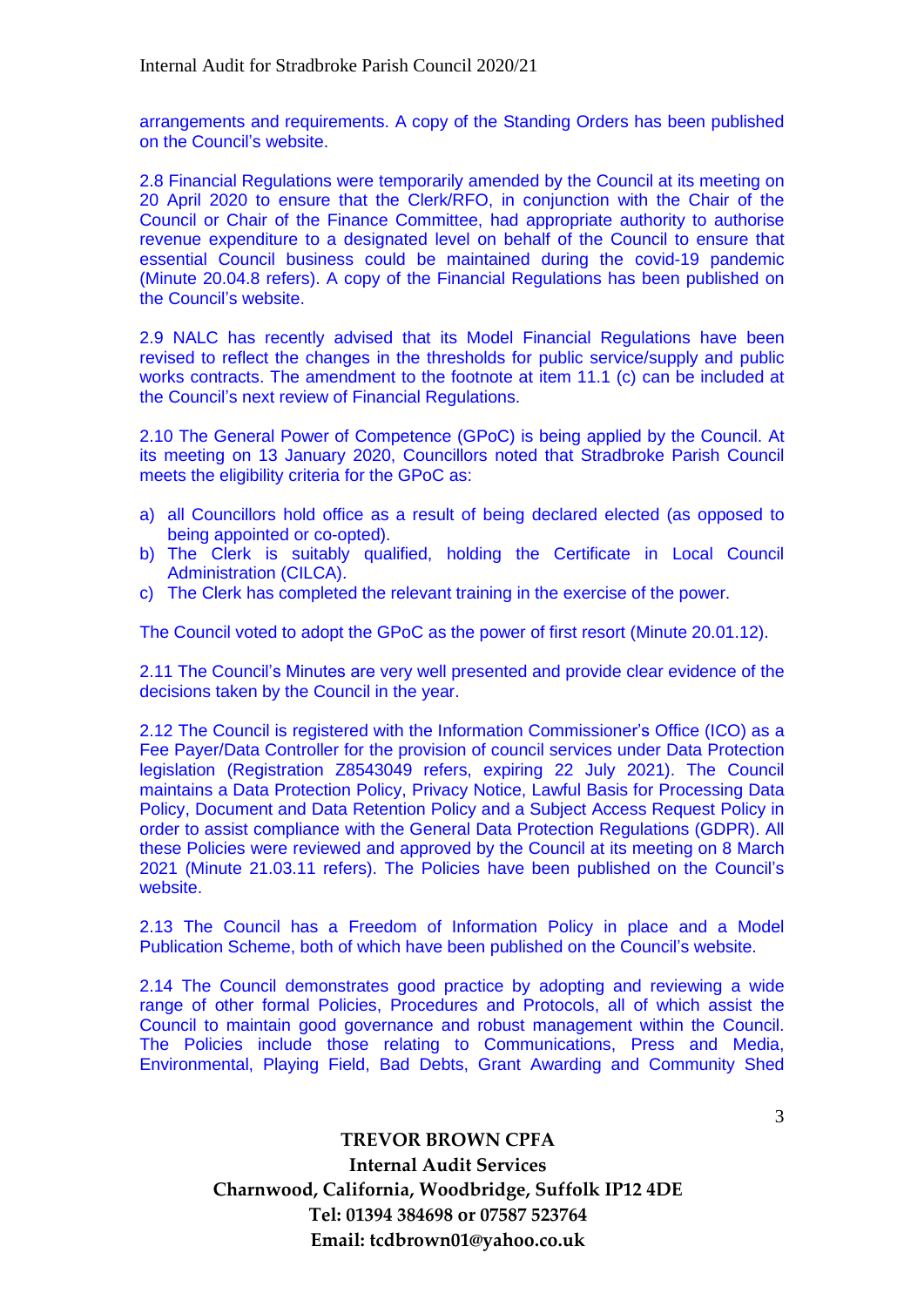arrangements and requirements. A copy of the Standing Orders has been published on the Council's website.

2.8 Financial Regulations were temporarily amended by the Council at its meeting on 20 April 2020 to ensure that the Clerk/RFO, in conjunction with the Chair of the Council or Chair of the Finance Committee, had appropriate authority to authorise revenue expenditure to a designated level on behalf of the Council to ensure that essential Council business could be maintained during the covid-19 pandemic (Minute 20.04.8 refers). A copy of the Financial Regulations has been published on the Council's website.

2.9 NALC has recently advised that its Model Financial Regulations have been revised to reflect the changes in the thresholds for public service/supply and public works contracts. The amendment to the footnote at item 11.1 (c) can be included at the Council's next review of Financial Regulations.

2.10 The General Power of Competence (GPoC) is being applied by the Council. At its meeting on 13 January 2020, Councillors noted that Stradbroke Parish Council meets the eligibility criteria for the GPoC as:

- a) all Councillors hold office as a result of being declared elected (as opposed to being appointed or co-opted).
- b) The Clerk is suitably qualified, holding the Certificate in Local Council Administration (CILCA).
- c) The Clerk has completed the relevant training in the exercise of the power.

The Council voted to adopt the GPoC as the power of first resort (Minute 20.01.12).

2.11 The Council's Minutes are very well presented and provide clear evidence of the decisions taken by the Council in the year.

2.12 The Council is registered with the Information Commissioner's Office (ICO) as a Fee Payer/Data Controller for the provision of council services under Data Protection legislation (Registration Z8543049 refers, expiring 22 July 2021). The Council maintains a Data Protection Policy, Privacy Notice, Lawful Basis for Processing Data Policy, Document and Data Retention Policy and a Subject Access Request Policy in order to assist compliance with the General Data Protection Regulations (GDPR). All these Policies were reviewed and approved by the Council at its meeting on 8 March 2021 (Minute 21.03.11 refers). The Policies have been published on the Council's website.

2.13 The Council has a Freedom of Information Policy in place and a Model Publication Scheme, both of which have been published on the Council's website.

2.14 The Council demonstrates good practice by adopting and reviewing a wide range of other formal Policies, Procedures and Protocols, all of which assist the Council to maintain good governance and robust management within the Council. The Policies include those relating to Communications, Press and Media, Environmental, Playing Field, Bad Debts, Grant Awarding and Community Shed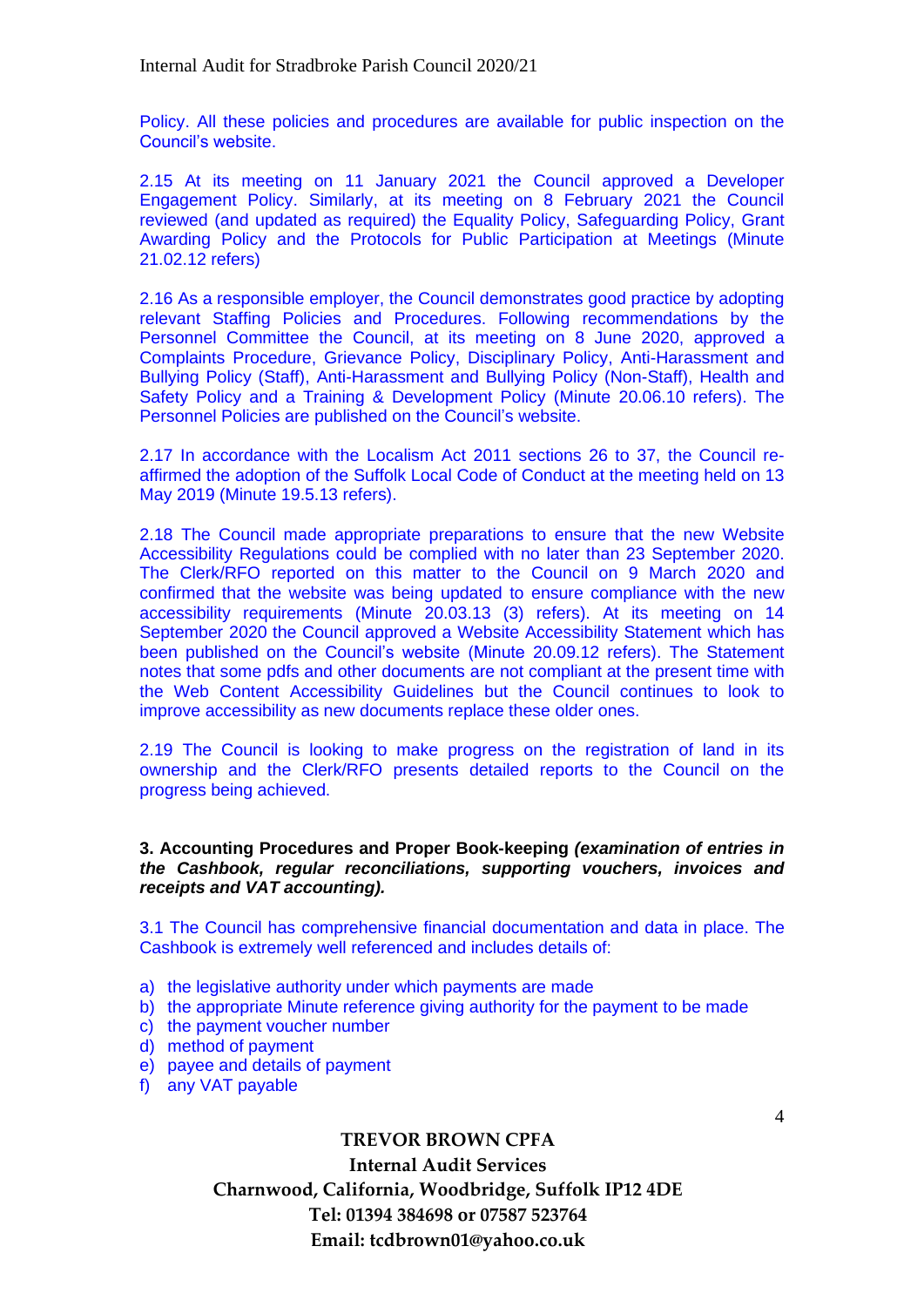Policy. All these policies and procedures are available for public inspection on the Council's website.

2.15 At its meeting on 11 January 2021 the Council approved a Developer Engagement Policy. Similarly, at its meeting on 8 February 2021 the Council reviewed (and updated as required) the Equality Policy, Safeguarding Policy, Grant Awarding Policy and the Protocols for Public Participation at Meetings (Minute 21.02.12 refers)

2.16 As a responsible employer, the Council demonstrates good practice by adopting relevant Staffing Policies and Procedures. Following recommendations by the Personnel Committee the Council, at its meeting on 8 June 2020, approved a Complaints Procedure, Grievance Policy, Disciplinary Policy, Anti-Harassment and Bullying Policy (Staff), Anti-Harassment and Bullying Policy (Non-Staff), Health and Safety Policy and a Training & Development Policy (Minute 20.06.10 refers). The Personnel Policies are published on the Council's website.

2.17 In accordance with the Localism Act 2011 sections 26 to 37, the Council reaffirmed the adoption of the Suffolk Local Code of Conduct at the meeting held on 13 May 2019 (Minute 19.5.13 refers).

2.18 The Council made appropriate preparations to ensure that the new Website Accessibility Regulations could be complied with no later than 23 September 2020. The Clerk/RFO reported on this matter to the Council on 9 March 2020 and confirmed that the website was being updated to ensure compliance with the new accessibility requirements (Minute 20.03.13 (3) refers). At its meeting on 14 September 2020 the Council approved a Website Accessibility Statement which has been published on the Council's website (Minute 20.09.12 refers). The Statement notes that some pdfs and other documents are not compliant at the present time with the Web Content Accessibility Guidelines but the Council continues to look to improve accessibility as new documents replace these older ones.

2.19 The Council is looking to make progress on the registration of land in its ownership and the Clerk/RFO presents detailed reports to the Council on the progress being achieved.

#### **3. Accounting Procedures and Proper Book-keeping** *(examination of entries in the Cashbook, regular reconciliations, supporting vouchers, invoices and receipts and VAT accounting).*

3.1 The Council has comprehensive financial documentation and data in place. The Cashbook is extremely well referenced and includes details of:

- a) the legislative authority under which payments are made
- b) the appropriate Minute reference giving authority for the payment to be made
- c) the payment voucher number
- d) method of payment
- e) payee and details of payment
- f) any VAT payable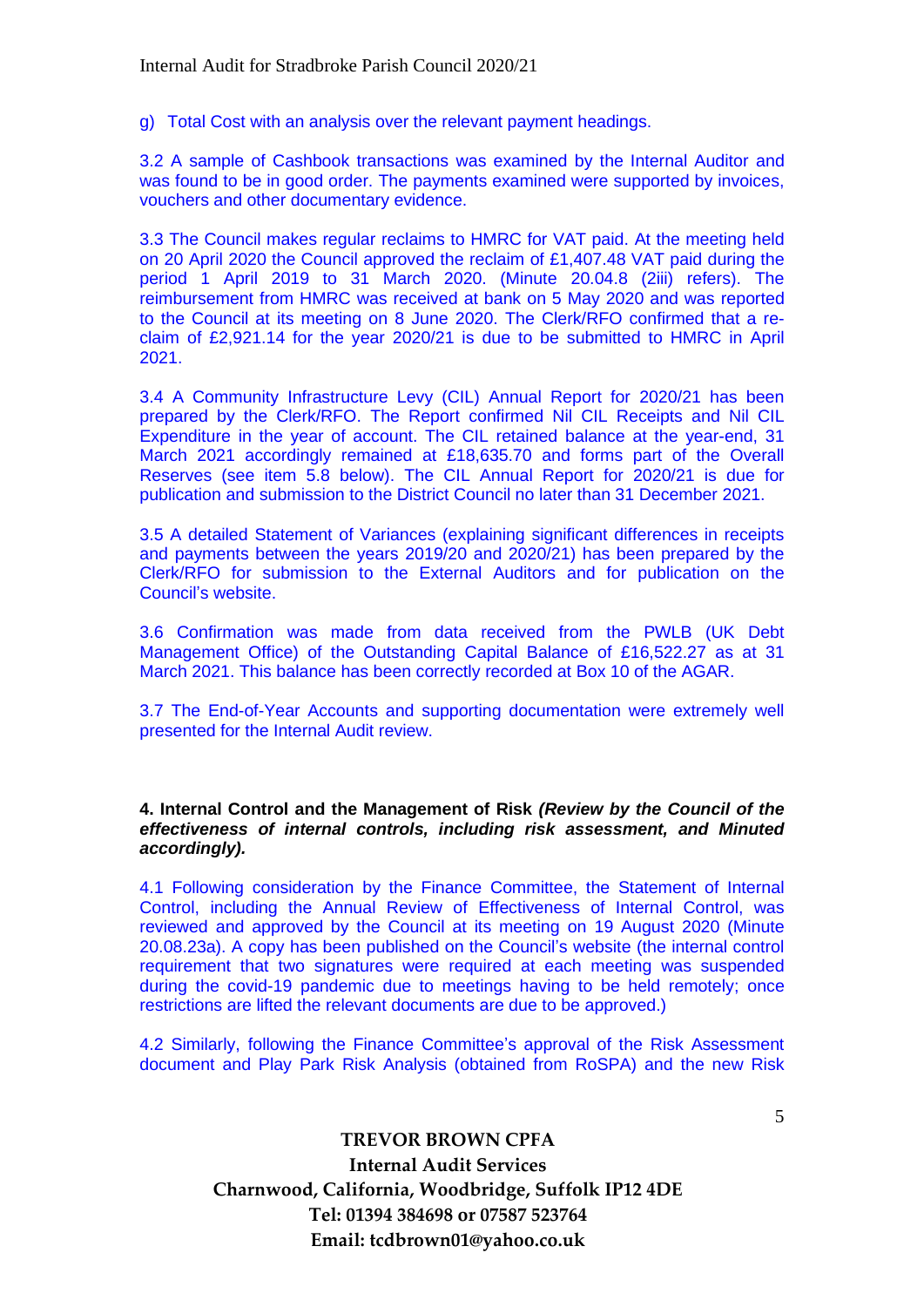g) Total Cost with an analysis over the relevant payment headings.

3.2 A sample of Cashbook transactions was examined by the Internal Auditor and was found to be in good order. The payments examined were supported by invoices, vouchers and other documentary evidence.

3.3 The Council makes regular reclaims to HMRC for VAT paid. At the meeting held on 20 April 2020 the Council approved the reclaim of £1,407.48 VAT paid during the period 1 April 2019 to 31 March 2020. (Minute 20.04.8 (2iii) refers). The reimbursement from HMRC was received at bank on 5 May 2020 and was reported to the Council at its meeting on 8 June 2020. The Clerk/RFO confirmed that a reclaim of £2,921.14 for the year 2020/21 is due to be submitted to HMRC in April 2021.

3.4 A Community Infrastructure Levy (CIL) Annual Report for 2020/21 has been prepared by the Clerk/RFO. The Report confirmed Nil CIL Receipts and Nil CIL Expenditure in the year of account. The CIL retained balance at the year-end, 31 March 2021 accordingly remained at £18,635.70 and forms part of the Overall Reserves (see item 5.8 below). The CIL Annual Report for 2020/21 is due for publication and submission to the District Council no later than 31 December 2021.

3.5 A detailed Statement of Variances (explaining significant differences in receipts and payments between the years 2019/20 and 2020/21) has been prepared by the Clerk/RFO for submission to the External Auditors and for publication on the Council's website.

3.6 Confirmation was made from data received from the PWLB (UK Debt Management Office) of the Outstanding Capital Balance of £16,522.27 as at 31 March 2021. This balance has been correctly recorded at Box 10 of the AGAR.

3.7 The End-of-Year Accounts and supporting documentation were extremely well presented for the Internal Audit review.

#### **4. Internal Control and the Management of Risk** *(Review by the Council of the effectiveness of internal controls, including risk assessment, and Minuted accordingly).*

4.1 Following consideration by the Finance Committee, the Statement of Internal Control, including the Annual Review of Effectiveness of Internal Control, was reviewed and approved by the Council at its meeting on 19 August 2020 (Minute 20.08.23a). A copy has been published on the Council's website (the internal control requirement that two signatures were required at each meeting was suspended during the covid-19 pandemic due to meetings having to be held remotely; once restrictions are lifted the relevant documents are due to be approved.)

4.2 Similarly, following the Finance Committee's approval of the Risk Assessment document and Play Park Risk Analysis (obtained from RoSPA) and the new Risk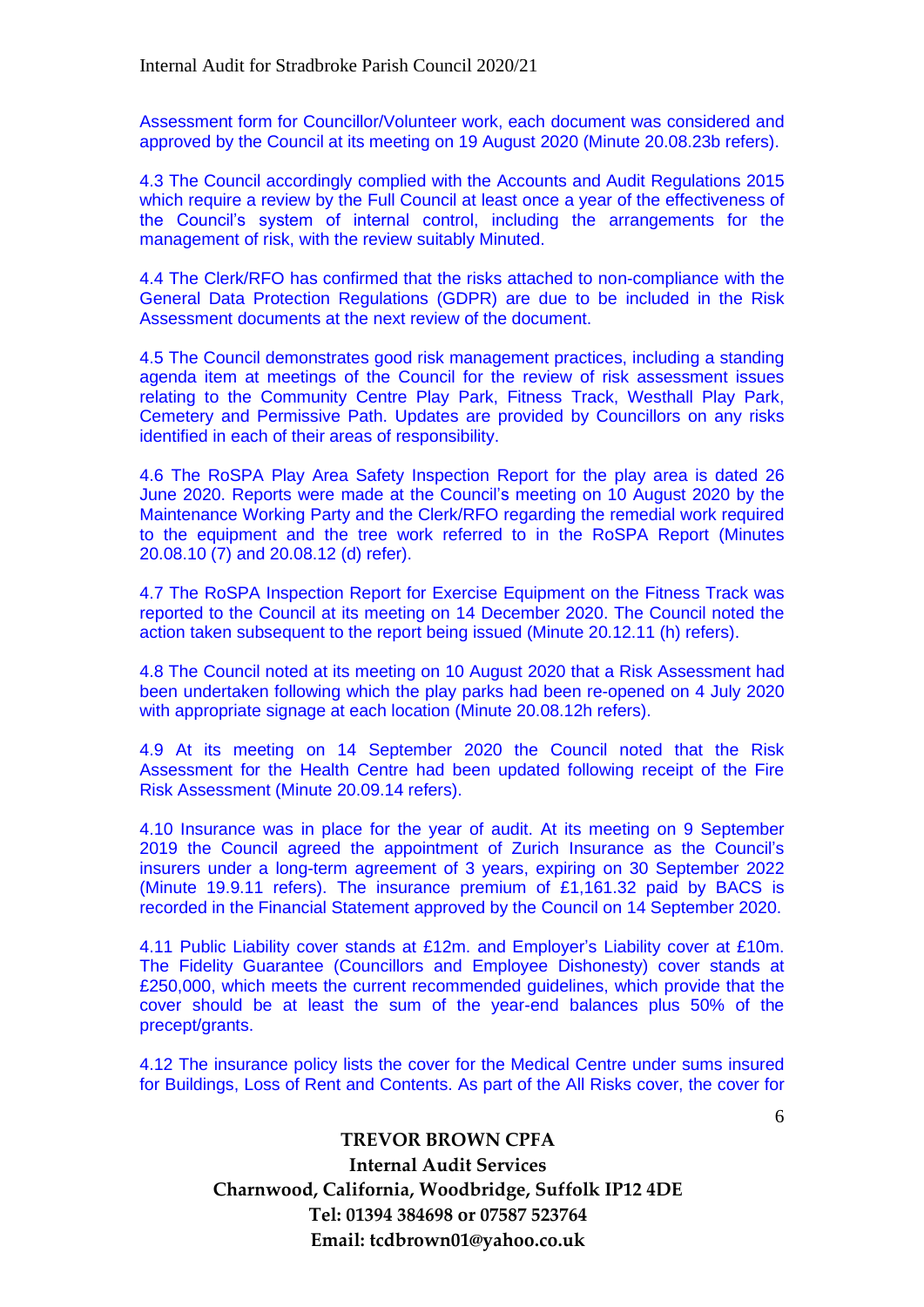Assessment form for Councillor/Volunteer work, each document was considered and approved by the Council at its meeting on 19 August 2020 (Minute 20.08.23b refers).

4.3 The Council accordingly complied with the Accounts and Audit Regulations 2015 which require a review by the Full Council at least once a year of the effectiveness of the Council's system of internal control, including the arrangements for the management of risk, with the review suitably Minuted.

4.4 The Clerk/RFO has confirmed that the risks attached to non-compliance with the General Data Protection Regulations (GDPR) are due to be included in the Risk Assessment documents at the next review of the document.

4.5 The Council demonstrates good risk management practices, including a standing agenda item at meetings of the Council for the review of risk assessment issues relating to the Community Centre Play Park, Fitness Track, Westhall Play Park, Cemetery and Permissive Path. Updates are provided by Councillors on any risks identified in each of their areas of responsibility.

4.6 The RoSPA Play Area Safety Inspection Report for the play area is dated 26 June 2020. Reports were made at the Council's meeting on 10 August 2020 by the Maintenance Working Party and the Clerk/RFO regarding the remedial work required to the equipment and the tree work referred to in the RoSPA Report (Minutes 20.08.10 (7) and 20.08.12 (d) refer).

4.7 The RoSPA Inspection Report for Exercise Equipment on the Fitness Track was reported to the Council at its meeting on 14 December 2020. The Council noted the action taken subsequent to the report being issued (Minute 20.12.11 (h) refers).

4.8 The Council noted at its meeting on 10 August 2020 that a Risk Assessment had been undertaken following which the play parks had been re-opened on 4 July 2020 with appropriate signage at each location (Minute 20.08.12h refers).

4.9 At its meeting on 14 September 2020 the Council noted that the Risk Assessment for the Health Centre had been updated following receipt of the Fire Risk Assessment (Minute 20.09.14 refers).

4.10 Insurance was in place for the year of audit. At its meeting on 9 September 2019 the Council agreed the appointment of Zurich Insurance as the Council's insurers under a long-term agreement of 3 years, expiring on 30 September 2022 (Minute 19.9.11 refers). The insurance premium of £1,161.32 paid by BACS is recorded in the Financial Statement approved by the Council on 14 September 2020.

4.11 Public Liability cover stands at £12m. and Employer's Liability cover at £10m. The Fidelity Guarantee (Councillors and Employee Dishonesty) cover stands at £250,000, which meets the current recommended guidelines, which provide that the cover should be at least the sum of the year-end balances plus 50% of the precept/grants.

4.12 The insurance policy lists the cover for the Medical Centre under sums insured for Buildings, Loss of Rent and Contents. As part of the All Risks cover, the cover for

# **TREVOR BROWN CPFA Internal Audit Services Charnwood, California, Woodbridge, Suffolk IP12 4DE Tel: 01394 384698 or 07587 523764 Email: tcdbrown01@yahoo.co.uk**

6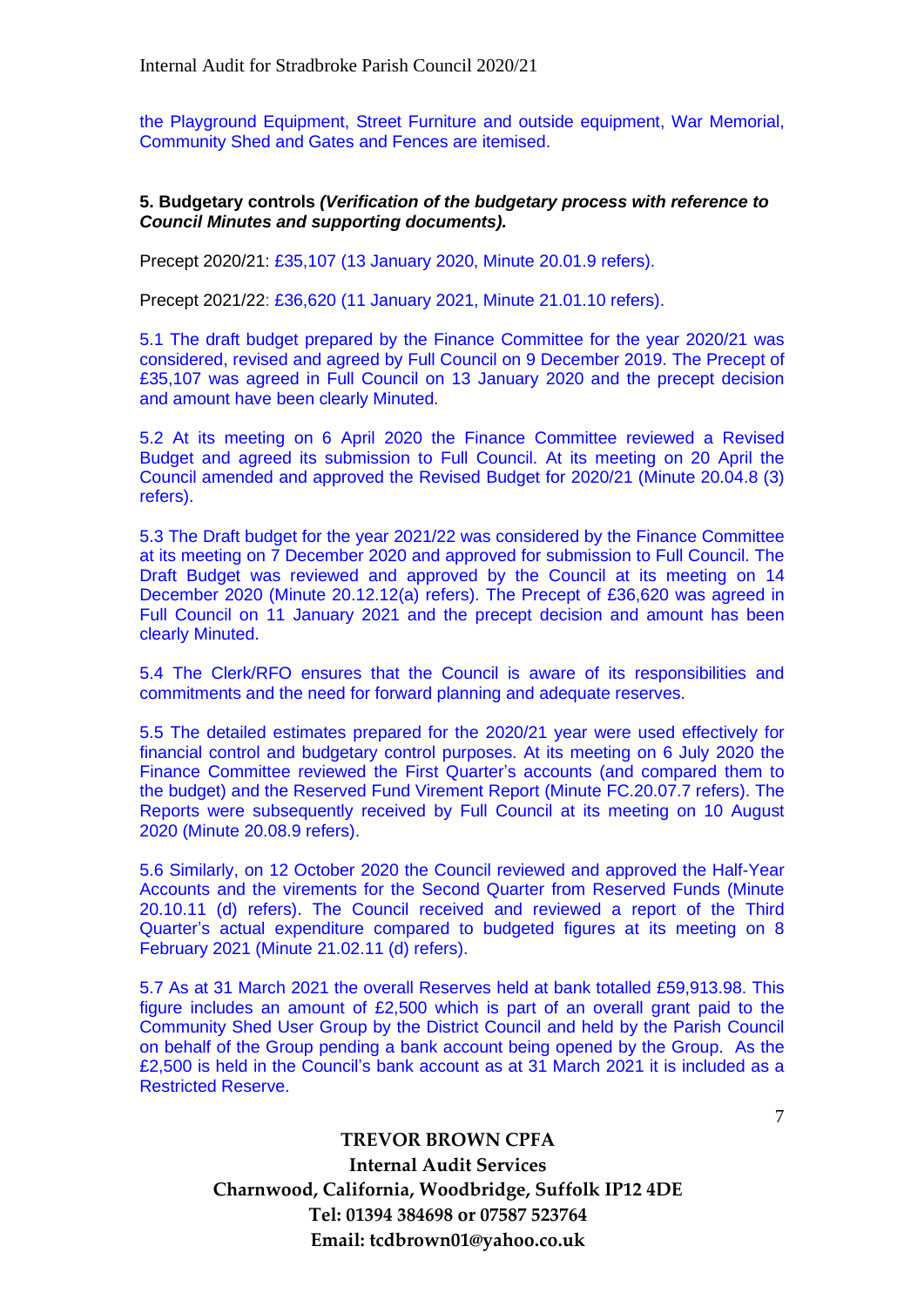the Playground Equipment, Street Furniture and outside equipment, War Memorial, Community Shed and Gates and Fences are itemised.

#### **5. Budgetary controls** *(Verification of the budgetary process with reference to Council Minutes and supporting documents).*

Precept 2020/21: £35,107 (13 January 2020, Minute 20.01.9 refers).

Precept 2021/22: £36,620 (11 January 2021, Minute 21.01.10 refers).

5.1 The draft budget prepared by the Finance Committee for the year 2020/21 was considered, revised and agreed by Full Council on 9 December 2019. The Precept of £35,107 was agreed in Full Council on 13 January 2020 and the precept decision and amount have been clearly Minuted.

5.2 At its meeting on 6 April 2020 the Finance Committee reviewed a Revised Budget and agreed its submission to Full Council. At its meeting on 20 April the Council amended and approved the Revised Budget for 2020/21 (Minute 20.04.8 (3) refers).

5.3 The Draft budget for the year 2021/22 was considered by the Finance Committee at its meeting on 7 December 2020 and approved for submission to Full Council. The Draft Budget was reviewed and approved by the Council at its meeting on 14 December 2020 (Minute 20.12.12(a) refers). The Precept of £36,620 was agreed in Full Council on 11 January 2021 and the precept decision and amount has been clearly Minuted.

5.4 The Clerk/RFO ensures that the Council is aware of its responsibilities and commitments and the need for forward planning and adequate reserves.

5.5 The detailed estimates prepared for the 2020/21 year were used effectively for financial control and budgetary control purposes. At its meeting on 6 July 2020 the Finance Committee reviewed the First Quarter's accounts (and compared them to the budget) and the Reserved Fund Virement Report (Minute FC.20.07.7 refers). The Reports were subsequently received by Full Council at its meeting on 10 August 2020 (Minute 20.08.9 refers).

5.6 Similarly, on 12 October 2020 the Council reviewed and approved the Half-Year Accounts and the virements for the Second Quarter from Reserved Funds (Minute 20.10.11 (d) refers). The Council received and reviewed a report of the Third Quarter's actual expenditure compared to budgeted figures at its meeting on 8 February 2021 (Minute 21.02.11 (d) refers).

5.7 As at 31 March 2021 the overall Reserves held at bank totalled £59,913.98. This figure includes an amount of £2,500 which is part of an overall grant paid to the Community Shed User Group by the District Council and held by the Parish Council on behalf of the Group pending a bank account being opened by the Group. As the £2,500 is held in the Council's bank account as at 31 March 2021 it is included as a Restricted Reserve.

> **TREVOR BROWN CPFA Internal Audit Services Charnwood, California, Woodbridge, Suffolk IP12 4DE Tel: 01394 384698 or 07587 523764 Email: tcdbrown01@yahoo.co.uk**

7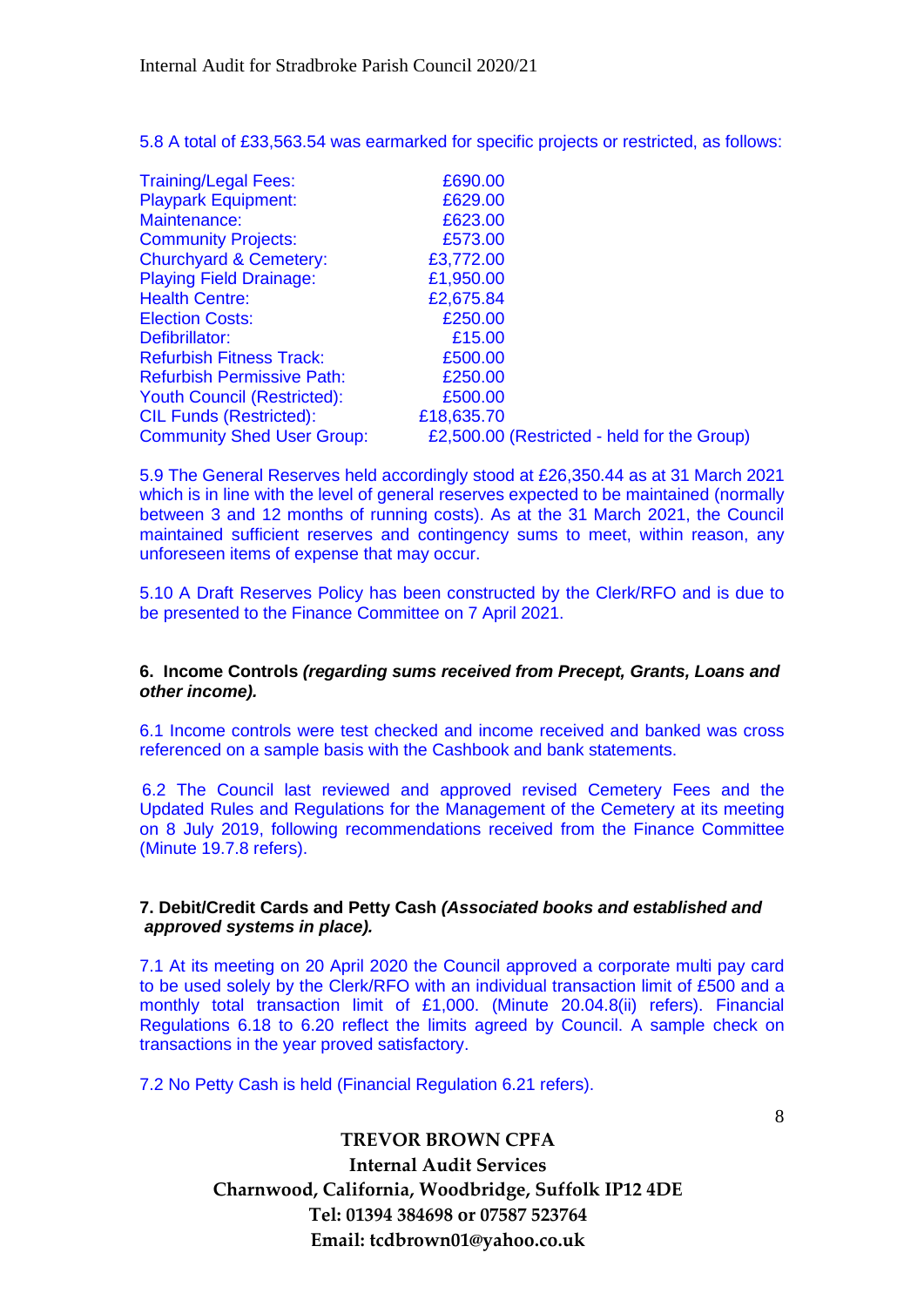5.8 A total of £33,563.54 was earmarked for specific projects or restricted, as follows:

| <b>Training/Legal Fees:</b>        | £690.00                                     |  |
|------------------------------------|---------------------------------------------|--|
| <b>Playpark Equipment:</b>         | £629.00                                     |  |
| Maintenance:                       | £623.00                                     |  |
| <b>Community Projects:</b>         | £573.00                                     |  |
| <b>Churchyard &amp; Cemetery:</b>  | £3,772.00                                   |  |
| <b>Playing Field Drainage:</b>     | £1,950.00                                   |  |
| <b>Health Centre:</b>              | £2,675.84                                   |  |
| <b>Election Costs:</b>             | £250.00                                     |  |
| Defibrillator:                     | £15.00                                      |  |
| <b>Refurbish Fitness Track:</b>    | £500.00                                     |  |
| <b>Refurbish Permissive Path:</b>  | £250.00                                     |  |
| <b>Youth Council (Restricted):</b> | £500.00                                     |  |
| <b>CIL Funds (Restricted):</b>     | £18,635.70                                  |  |
| <b>Community Shed User Group:</b>  | £2,500.00 (Restricted - held for the Group) |  |

5.9 The General Reserves held accordingly stood at £26,350.44 as at 31 March 2021 which is in line with the level of general reserves expected to be maintained (normally between 3 and 12 months of running costs). As at the 31 March 2021, the Council maintained sufficient reserves and contingency sums to meet, within reason, any unforeseen items of expense that may occur.

5.10 A Draft Reserves Policy has been constructed by the Clerk/RFO and is due to be presented to the Finance Committee on 7 April 2021.

### **6. Income Controls** *(regarding sums received from Precept, Grants, Loans and other income).*

6.1 Income controls were test checked and income received and banked was cross referenced on a sample basis with the Cashbook and bank statements.

6.2 The Council last reviewed and approved revised Cemetery Fees and the Updated Rules and Regulations for the Management of the Cemetery at its meeting on 8 July 2019, following recommendations received from the Finance Committee (Minute 19.7.8 refers).

### **7. Debit/Credit Cards and Petty Cash** *(Associated books and established and approved systems in place).*

7.1 At its meeting on 20 April 2020 the Council approved a corporate multi pay card to be used solely by the Clerk/RFO with an individual transaction limit of £500 and a monthly total transaction limit of £1,000. (Minute 20.04.8(ii) refers). Financial Regulations 6.18 to 6.20 reflect the limits agreed by Council. A sample check on transactions in the year proved satisfactory.

7.2 No Petty Cash is held (Financial Regulation 6.21 refers).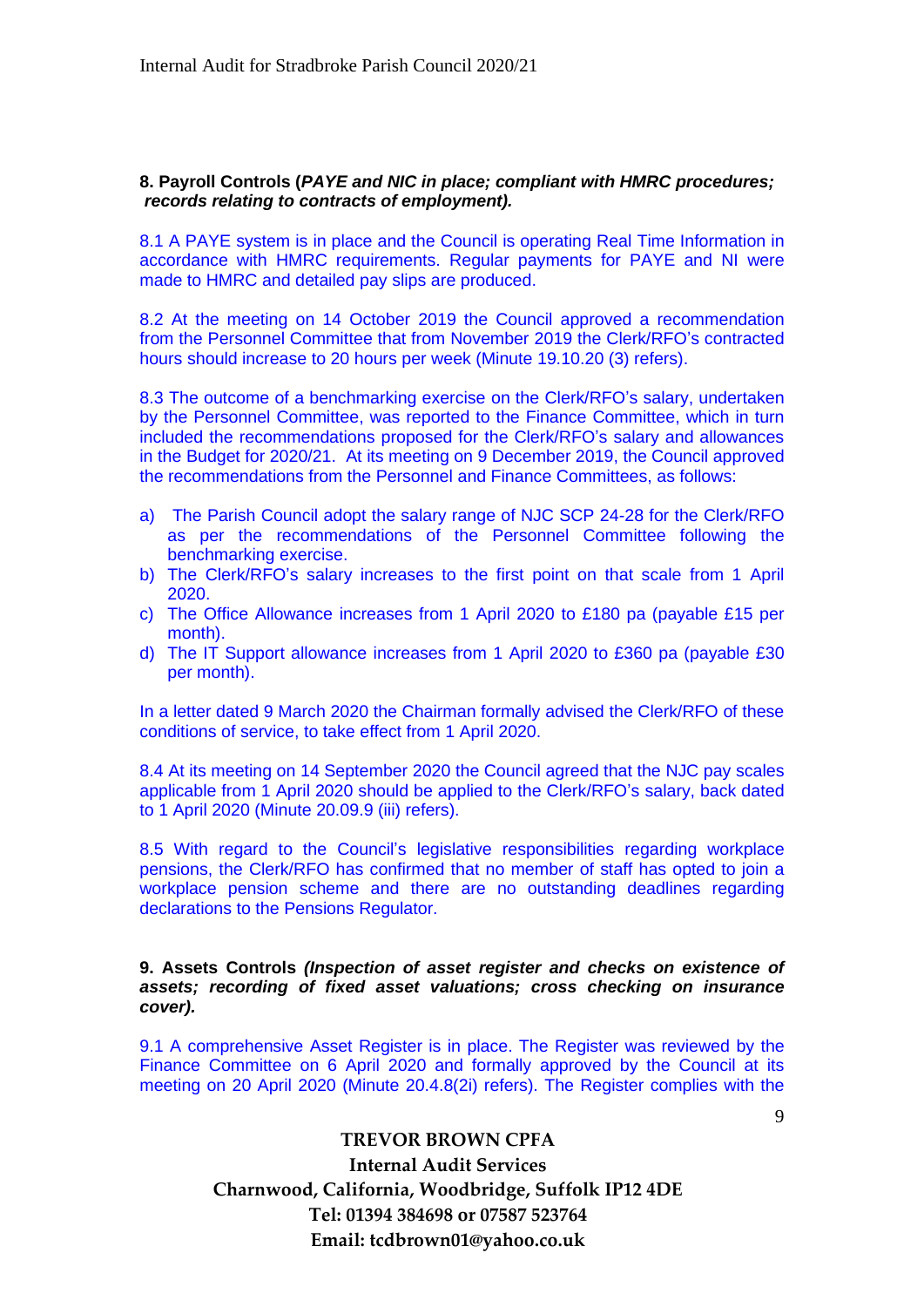### **8. Payroll Controls (***PAYE and NIC in place; compliant with HMRC procedures; records relating to contracts of employment).*

8.1 A PAYE system is in place and the Council is operating Real Time Information in accordance with HMRC requirements. Regular payments for PAYE and NI were made to HMRC and detailed pay slips are produced.

8.2 At the meeting on 14 October 2019 the Council approved a recommendation from the Personnel Committee that from November 2019 the Clerk/RFO's contracted hours should increase to 20 hours per week (Minute 19.10.20 (3) refers).

8.3 The outcome of a benchmarking exercise on the Clerk/RFO's salary, undertaken by the Personnel Committee, was reported to the Finance Committee, which in turn included the recommendations proposed for the Clerk/RFO's salary and allowances in the Budget for 2020/21. At its meeting on 9 December 2019, the Council approved the recommendations from the Personnel and Finance Committees, as follows:

- a) The Parish Council adopt the salary range of NJC SCP 24-28 for the Clerk/RFO as per the recommendations of the Personnel Committee following the benchmarking exercise.
- b) The Clerk/RFO's salary increases to the first point on that scale from 1 April 2020.
- c) The Office Allowance increases from 1 April 2020 to £180 pa (payable £15 per month).
- d) The IT Support allowance increases from 1 April 2020 to £360 pa (payable £30 per month).

In a letter dated 9 March 2020 the Chairman formally advised the Clerk/RFO of these conditions of service, to take effect from 1 April 2020.

8.4 At its meeting on 14 September 2020 the Council agreed that the NJC pay scales applicable from 1 April 2020 should be applied to the Clerk/RFO's salary, back dated to 1 April 2020 (Minute 20.09.9 (iii) refers).

8.5 With regard to the Council's legislative responsibilities regarding workplace pensions, the Clerk/RFO has confirmed that no member of staff has opted to join a workplace pension scheme and there are no outstanding deadlines regarding declarations to the Pensions Regulator.

**9. Assets Controls** *(Inspection of asset register and checks on existence of assets; recording of fixed asset valuations; cross checking on insurance cover).*

9.1 A comprehensive Asset Register is in place. The Register was reviewed by the Finance Committee on 6 April 2020 and formally approved by the Council at its meeting on 20 April 2020 (Minute 20.4.8(2i) refers). The Register complies with the

 $\mathbf Q$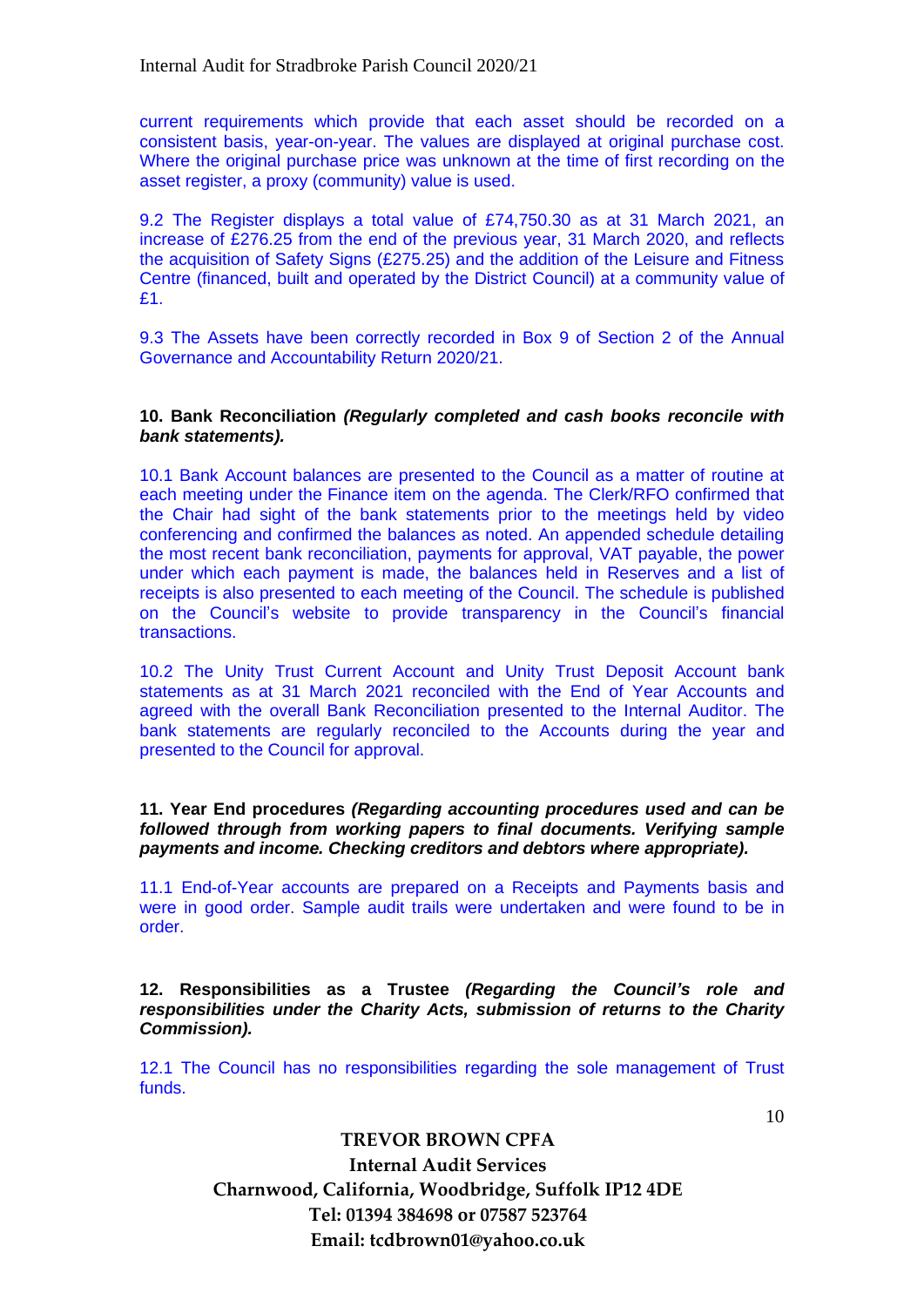current requirements which provide that each asset should be recorded on a consistent basis, year-on-year. The values are displayed at original purchase cost. Where the original purchase price was unknown at the time of first recording on the asset register, a proxy (community) value is used.

9.2 The Register displays a total value of £74,750.30 as at 31 March 2021, an increase of £276.25 from the end of the previous year, 31 March 2020, and reflects the acquisition of Safety Signs (£275.25) and the addition of the Leisure and Fitness Centre (financed, built and operated by the District Council) at a community value of £1.

9.3 The Assets have been correctly recorded in Box 9 of Section 2 of the Annual Governance and Accountability Return 2020/21.

#### **10. Bank Reconciliation** *(Regularly completed and cash books reconcile with bank statements).*

10.1 Bank Account balances are presented to the Council as a matter of routine at each meeting under the Finance item on the agenda. The Clerk/RFO confirmed that the Chair had sight of the bank statements prior to the meetings held by video conferencing and confirmed the balances as noted. An appended schedule detailing the most recent bank reconciliation, payments for approval, VAT payable, the power under which each payment is made, the balances held in Reserves and a list of receipts is also presented to each meeting of the Council. The schedule is published on the Council's website to provide transparency in the Council's financial transactions.

10.2 The Unity Trust Current Account and Unity Trust Deposit Account bank statements as at 31 March 2021 reconciled with the End of Year Accounts and agreed with the overall Bank Reconciliation presented to the Internal Auditor. The bank statements are regularly reconciled to the Accounts during the year and presented to the Council for approval.

#### **11. Year End procedures** *(Regarding accounting procedures used and can be followed through from working papers to final documents. Verifying sample payments and income. Checking creditors and debtors where appropriate).*

11.1 End-of-Year accounts are prepared on a Receipts and Payments basis and were in good order. Sample audit trails were undertaken and were found to be in order.

**12. Responsibilities as a Trustee** *(Regarding the Council's role and responsibilities under the Charity Acts, submission of returns to the Charity Commission).*

12.1 The Council has no responsibilities regarding the sole management of Trust funds.

10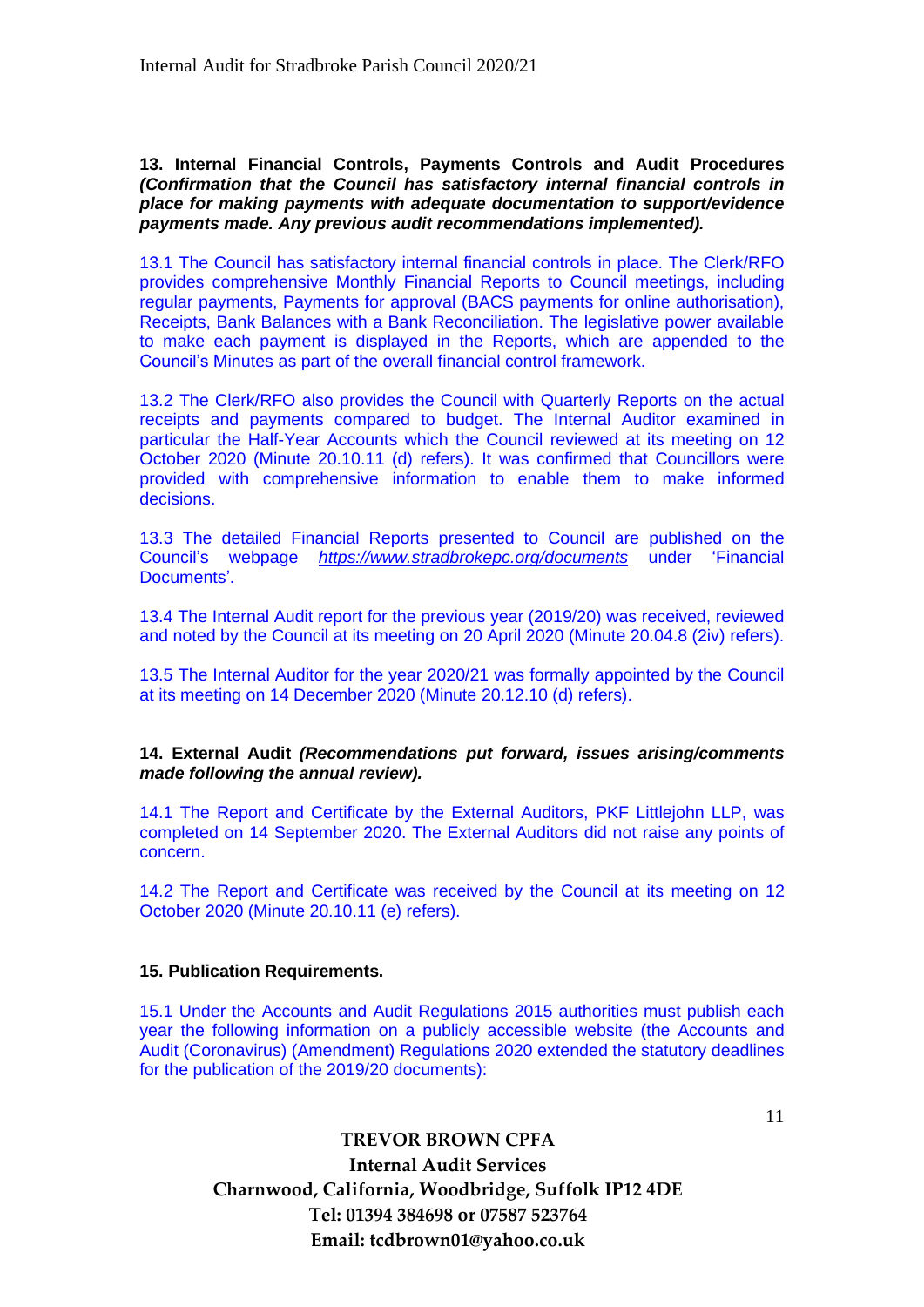**13. Internal Financial Controls, Payments Controls and Audit Procedures**  *(Confirmation that the Council has satisfactory internal financial controls in place for making payments with adequate documentation to support/evidence payments made. Any previous audit recommendations implemented).*

13.1 The Council has satisfactory internal financial controls in place. The Clerk/RFO provides comprehensive Monthly Financial Reports to Council meetings, including regular payments, Payments for approval (BACS payments for online authorisation), Receipts, Bank Balances with a Bank Reconciliation. The legislative power available to make each payment is displayed in the Reports, which are appended to the Council's Minutes as part of the overall financial control framework.

13.2 The Clerk/RFO also provides the Council with Quarterly Reports on the actual receipts and payments compared to budget. The Internal Auditor examined in particular the Half-Year Accounts which the Council reviewed at its meeting on 12 October 2020 (Minute 20.10.11 (d) refers). It was confirmed that Councillors were provided with comprehensive information to enable them to make informed decisions.

13.3 The detailed Financial Reports presented to Council are published on the Council's webpage *https://www.stradbrokepc.org/documents* under 'Financial Documents'.

13.4 The Internal Audit report for the previous year (2019/20) was received, reviewed and noted by the Council at its meeting on 20 April 2020 (Minute 20.04.8 (2iv) refers).

13.5 The Internal Auditor for the year 2020/21 was formally appointed by the Council at its meeting on 14 December 2020 (Minute 20.12.10 (d) refers).

**14. External Audit** *(Recommendations put forward, issues arising/comments made following the annual review).*

14.1 The Report and Certificate by the External Auditors, PKF Littlejohn LLP, was completed on 14 September 2020. The External Auditors did not raise any points of concern.

14.2 The Report and Certificate was received by the Council at its meeting on 12 October 2020 (Minute 20.10.11 (e) refers).

### **15. Publication Requirements.**

15.1 Under the Accounts and Audit Regulations 2015 authorities must publish each year the following information on a publicly accessible website (the Accounts and Audit (Coronavirus) (Amendment) Regulations 2020 extended the statutory deadlines for the publication of the 2019/20 documents):